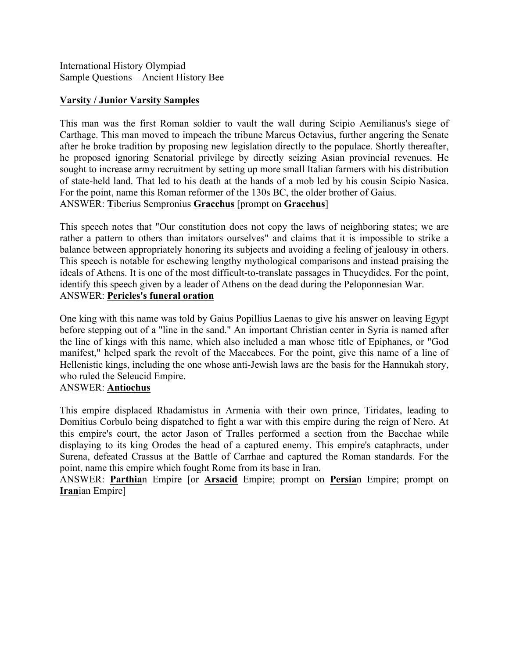International History Olympiad Sample Questions – Ancient History Bee

## **Varsity / Junior Varsity Samples**

This man was the first Roman soldier to vault the wall during Scipio Aemilianus's siege of Carthage. This man moved to impeach the tribune Marcus Octavius, further angering the Senate after he broke tradition by proposing new legislation directly to the populace. Shortly thereafter, he proposed ignoring Senatorial privilege by directly seizing Asian provincial revenues. He sought to increase army recruitment by setting up more small Italian farmers with his distribution of state-held land. That led to his death at the hands of a mob led by his cousin Scipio Nasica. For the point, name this Roman reformer of the 130s BC, the older brother of Gaius. ANSWER: **T**iberius Sempronius **Gracchus** [prompt on **Gracchus**]

This speech notes that "Our constitution does not copy the laws of neighboring states; we are rather a pattern to others than imitators ourselves" and claims that it is impossible to strike a balance between appropriately honoring its subjects and avoiding a feeling of jealousy in others. This speech is notable for eschewing lengthy mythological comparisons and instead praising the ideals of Athens. It is one of the most difficult-to-translate passages in Thucydides. For the point, identify this speech given by a leader of Athens on the dead during the Peloponnesian War. ANSWER: **Pericles's funeral oration**

One king with this name was told by Gaius Popillius Laenas to give his answer on leaving Egypt before stepping out of a "line in the sand." An important Christian center in Syria is named after the line of kings with this name, which also included a man whose title of Epiphanes, or "God manifest," helped spark the revolt of the Maccabees. For the point, give this name of a line of Hellenistic kings, including the one whose anti-Jewish laws are the basis for the Hannukah story, who ruled the Seleucid Empire.

## ANSWER: **Antiochus**

This empire displaced Rhadamistus in Armenia with their own prince, Tiridates, leading to Domitius Corbulo being dispatched to fight a war with this empire during the reign of Nero. At this empire's court, the actor Jason of Tralles performed a section from the Bacchae while displaying to its king Orodes the head of a captured enemy. This empire's cataphracts, under Surena, defeated Crassus at the Battle of Carrhae and captured the Roman standards. For the point, name this empire which fought Rome from its base in Iran.

ANSWER: **Parthia**n Empire [or **Arsacid** Empire; prompt on **Persia**n Empire; prompt on **Iran**ian Empire]